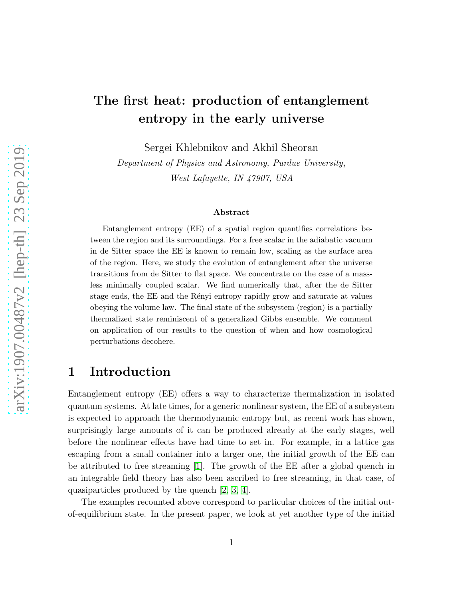# The first heat: production of entanglement entropy in the early universe

Sergei Khlebnikov and Akhil Sheoran

Department of Physics and Astronomy, Purdue University, West Lafayette, IN 47907, USA

#### Abstract

Entanglement entropy (EE) of a spatial region quantifies correlations between the region and its surroundings. For a free scalar in the adiabatic vacuum in de Sitter space the EE is known to remain low, scaling as the surface area of the region. Here, we study the evolution of entanglement after the universe transitions from de Sitter to flat space. We concentrate on the case of a massless minimally coupled scalar. We find numerically that, after the de Sitter stage ends, the EE and the Rényi entropy rapidly grow and saturate at values obeying the volume law. The final state of the subsystem (region) is a partially thermalized state reminiscent of a generalized Gibbs ensemble. We comment on application of our results to the question of when and how cosmological perturbations decohere.

### 1 Introduction

Entanglement entropy (EE) offers a way to characterize thermalization in isolated quantum systems. At late times, for a generic nonlinear system, the EE of a subsystem is expected to approach the thermodynamic entropy but, as recent work has shown, surprisingly large amounts of it can be produced already at the early stages, well before the nonlinear effects have had time to set in. For example, in a lattice gas escaping from a small container into a larger one, the initial growth of the EE can be attributed to free streaming [\[1\]](#page-13-0). The growth of the EE after a global quench in an integrable field theory has also been ascribed to free streaming, in that case, of quasiparticles produced by the quench [\[2,](#page-13-1) [3,](#page-13-2) [4\]](#page-13-3).

The examples recounted above correspond to particular choices of the initial outof-equilibrium state. In the present paper, we look at yet another type of the initial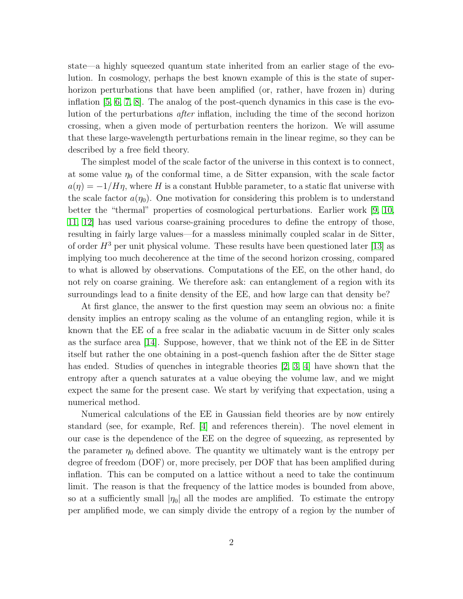state—a highly squeezed quantum state inherited from an earlier stage of the evolution. In cosmology, perhaps the best known example of this is the state of superhorizon perturbations that have been amplified (or, rather, have frozen in) during inflation  $[5, 6, 7, 8]$  $[5, 6, 7, 8]$  $[5, 6, 7, 8]$  $[5, 6, 7, 8]$ . The analog of the post-quench dynamics in this case is the evolution of the perturbations after inflation, including the time of the second horizon crossing, when a given mode of perturbation reenters the horizon. We will assume that these large-wavelength perturbations remain in the linear regime, so they can be described by a free field theory.

The simplest model of the scale factor of the universe in this context is to connect, at some value  $\eta_0$  of the conformal time, a de Sitter expansion, with the scale factor  $a(\eta) = -1/H\eta$ , where H is a constant Hubble parameter, to a static flat universe with the scale factor  $a(\eta_0)$ . One motivation for considering this problem is to understand better the "thermal" properties of cosmological perturbations. Earlier work [\[9,](#page-13-8) [10,](#page-13-9) [11,](#page-14-0) [12\]](#page-14-1) has used various coarse-graining procedures to define the entropy of those, resulting in fairly large values—for a massless minimally coupled scalar in de Sitter, of order  $H^3$  per unit physical volume. These results have been questioned later [\[13\]](#page-14-2) as implying too much decoherence at the time of the second horizon crossing, compared to what is allowed by observations. Computations of the EE, on the other hand, do not rely on coarse graining. We therefore ask: can entanglement of a region with its surroundings lead to a finite density of the EE, and how large can that density be?

At first glance, the answer to the first question may seem an obvious no: a finite density implies an entropy scaling as the volume of an entangling region, while it is known that the EE of a free scalar in the adiabatic vacuum in de Sitter only scales as the surface area [\[14\]](#page-14-3). Suppose, however, that we think not of the EE in de Sitter itself but rather the one obtaining in a post-quench fashion after the de Sitter stage has ended. Studies of quenches in integrable theories [\[2,](#page-13-1) [3,](#page-13-2) [4\]](#page-13-3) have shown that the entropy after a quench saturates at a value obeying the volume law, and we might expect the same for the present case. We start by verifying that expectation, using a numerical method.

Numerical calculations of the EE in Gaussian field theories are by now entirely standard (see, for example, Ref. [\[4\]](#page-13-3) and references therein). The novel element in our case is the dependence of the EE on the degree of squeezing, as represented by the parameter  $\eta_0$  defined above. The quantity we ultimately want is the entropy per degree of freedom (DOF) or, more precisely, per DOF that has been amplified during inflation. This can be computed on a lattice without a need to take the continuum limit. The reason is that the frequency of the lattice modes is bounded from above, so at a sufficiently small  $|\eta_0|$  all the modes are amplified. To estimate the entropy per amplified mode, we can simply divide the entropy of a region by the number of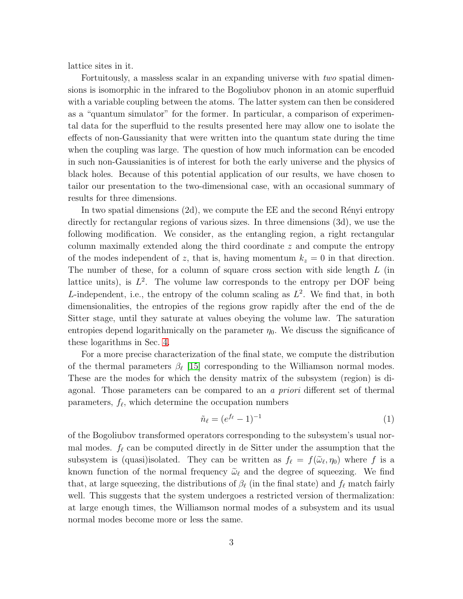lattice sites in it.

Fortuitously, a massless scalar in an expanding universe with two spatial dimensions is isomorphic in the infrared to the Bogoliubov phonon in an atomic superfluid with a variable coupling between the atoms. The latter system can then be considered as a "quantum simulator" for the former. In particular, a comparison of experimental data for the superfluid to the results presented here may allow one to isolate the effects of non-Gaussianity that were written into the quantum state during the time when the coupling was large. The question of how much information can be encoded in such non-Gaussianities is of interest for both the early universe and the physics of black holes. Because of this potential application of our results, we have chosen to tailor our presentation to the two-dimensional case, with an occasional summary of results for three dimensions.

In two spatial dimensions  $(2d)$ , we compute the EE and the second Rényi entropy directly for rectangular regions of various sizes. In three dimensions (3d), we use the following modification. We consider, as the entangling region, a right rectangular column maximally extended along the third coordinate z and compute the entropy of the modes independent of z, that is, having momentum  $k_z = 0$  in that direction. The number of these, for a column of square cross section with side length  $L$  (in lattice units), is  $L^2$ . The volume law corresponds to the entropy per DOF being L-independent, i.e., the entropy of the column scaling as  $L^2$ . We find that, in both dimensionalities, the entropies of the regions grow rapidly after the end of the de Sitter stage, until they saturate at values obeying the volume law. The saturation entropies depend logarithmically on the parameter  $\eta_0$ . We discuss the significance of these logarithms in Sec. [4.](#page-10-0)

For a more precise characterization of the final state, we compute the distribution of the thermal parameters  $\beta_{\ell}$  [\[15\]](#page-14-4) corresponding to the Williamson normal modes. These are the modes for which the density matrix of the subsystem (region) is diagonal. Those parameters can be compared to an a priori different set of thermal parameters,  $f_{\ell}$ , which determine the occupation numbers

<span id="page-2-0"></span>
$$
\tilde{n}_{\ell} = (e^{f_{\ell}} - 1)^{-1} \tag{1}
$$

of the Bogoliubov transformed operators corresponding to the subsystem's usual normal modes.  $f_{\ell}$  can be computed directly in de Sitter under the assumption that the subsystem is (quasi)isolated. They can be written as  $f_{\ell} = f(\tilde{\omega}_{\ell}, \eta_0)$  where f is a known function of the normal frequency  $\tilde{\omega}_{\ell}$  and the degree of squeezing. We find that, at large squeezing, the distributions of  $\beta_{\ell}$  (in the final state) and  $f_{\ell}$  match fairly well. This suggests that the system undergoes a restricted version of thermalization: at large enough times, the Williamson normal modes of a subsystem and its usual normal modes become more or less the same.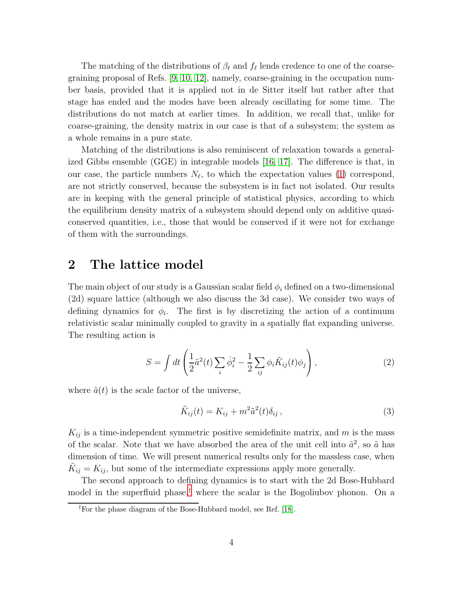The matching of the distributions of  $\beta_{\ell}$  and  $f_{\ell}$  lends credence to one of the coarsegraining proposal of Refs. [\[9,](#page-13-8) [10,](#page-13-9) [12\]](#page-14-1), namely, coarse-graining in the occupation number basis, provided that it is applied not in de Sitter itself but rather after that stage has ended and the modes have been already oscillating for some time. The distributions do not match at earlier times. In addition, we recall that, unlike for coarse-graining, the density matrix in our case is that of a subsystem; the system as a whole remains in a pure state.

Matching of the distributions is also reminiscent of relaxation towards a generalized Gibbs ensemble (GGE) in integrable models [\[16,](#page-14-5) [17\]](#page-14-6). The difference is that, in our case, the particle numbers  $N_{\ell}$ , to which the expectation values [\(1\)](#page-2-0) correspond, are not strictly conserved, because the subsystem is in fact not isolated. Our results are in keeping with the general principle of statistical physics, according to which the equilibrium density matrix of a subsystem should depend only on additive quasiconserved quantities, i.e., those that would be conserved if it were not for exchange of them with the surroundings.

#### <span id="page-3-3"></span>2 The lattice model

The main object of our study is a Gaussian scalar field  $\phi_i$  defined on a two-dimensional (2d) square lattice (although we also discuss the 3d case). We consider two ways of defining dynamics for  $\phi_i$ . The first is by discretizing the action of a continuum relativistic scalar minimally coupled to gravity in a spatially flat expanding universe. The resulting action is

<span id="page-3-1"></span>
$$
S = \int dt \left( \frac{1}{2} \tilde{a}^2(t) \sum_i \dot{\phi}_i^2 - \frac{1}{2} \sum_{ij} \phi_i \tilde{K}_{ij}(t) \phi_j \right), \qquad (2)
$$

where  $\tilde{a}(t)$  is the scale factor of the universe,

<span id="page-3-2"></span>
$$
\tilde{K}_{ij}(t) = K_{ij} + m^2 \tilde{a}^2(t)\delta_{ij},\qquad(3)
$$

 $K_{ij}$  is a time-independent symmetric positive semidefinite matrix, and m is the mass of the scalar. Note that we have absorbed the area of the unit cell into  $\tilde{a}^2$ , so  $\tilde{a}$  has dimension of time. We will present numerical results only for the massless case, when  $\tilde{K}_{ij} = K_{ij}$ , but some of the intermediate expressions apply more generally.

The second approach to defining dynamics is to start with the 2d Bose-Hubbard model in the superfluid phase,[†](#page-3-0) where the scalar is the Bogoliubov phonon. On a

<span id="page-3-0"></span><sup>†</sup>For the phase diagram of the Bose-Hubbard model, see Ref. [\[18\]](#page-14-7).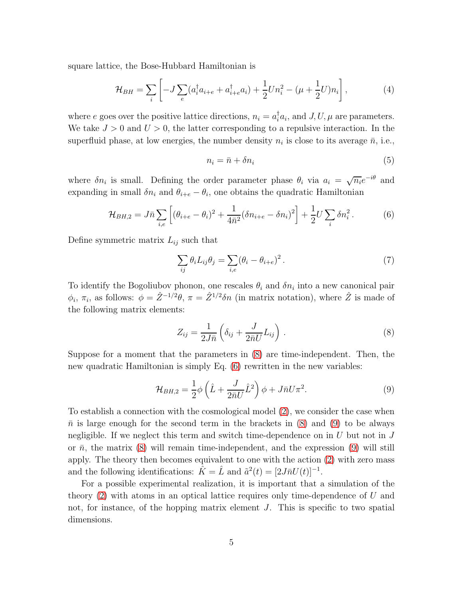square lattice, the Bose-Hubbard Hamiltonian is

$$
\mathcal{H}_{BH} = \sum_{i} \left[ -J \sum_{e} (a_i^{\dagger} a_{i+e} + a_{i+e}^{\dagger} a_i) + \frac{1}{2} U n_i^2 - (\mu + \frac{1}{2} U) n_i \right],\tag{4}
$$

where e goes over the positive lattice directions,  $n_i = a_i^{\dagger} a_i$ , and  $J, U, \mu$  are parameters. We take  $J > 0$  and  $U > 0$ , the latter corresponding to a repulsive interaction. In the superfluid phase, at low energies, the number density  $n_i$  is close to its average  $\bar{n}$ , i.e.,

$$
n_i = \bar{n} + \delta n_i \tag{5}
$$

where  $\delta n_i$  is small. Defining the order parameter phase  $\theta_i$  via  $a_i = \sqrt{n_i}e^{-i\theta}$  and expanding in small  $\delta n_i$  and  $\theta_{i+e} - \theta_i$ , one obtains the quadratic Hamiltonian

<span id="page-4-1"></span>
$$
\mathcal{H}_{BH,2} = J\bar{n} \sum_{i,e} \left[ (\theta_{i+e} - \theta_i)^2 + \frac{1}{4\bar{n}^2} (\delta n_{i+e} - \delta n_i)^2 \right] + \frac{1}{2} U \sum_i \delta n_i^2. \tag{6}
$$

Define symmetric matrix  $L_{ij}$  such that

<span id="page-4-3"></span>
$$
\sum_{ij} \theta_i L_{ij} \theta_j = \sum_{i,e} (\theta_i - \theta_{i+e})^2.
$$
 (7)

To identify the Bogoliubov phonon, one rescales  $\theta_i$  and  $\delta n_i$  into a new canonical pair  $\phi_i$ ,  $\pi_i$ , as follows:  $\phi = \hat{Z}^{-1/2}\theta$ ,  $\pi = \hat{Z}^{1/2}\delta n$  (in matrix notation), where  $\hat{Z}$  is made of the following matrix elements:

<span id="page-4-0"></span>
$$
Z_{ij} = \frac{1}{2J\bar{n}} \left( \delta_{ij} + \frac{J}{2\bar{n}U} L_{ij} \right) . \tag{8}
$$

Suppose for a moment that the parameters in [\(8\)](#page-4-0) are time-independent. Then, the new quadratic Hamiltonian is simply Eq. [\(6\)](#page-4-1) rewritten in the new variables:

<span id="page-4-2"></span>
$$
\mathcal{H}_{BH,2} = \frac{1}{2}\phi\left(\hat{L} + \frac{J}{2\bar{n}U}\hat{L}^2\right)\phi + J\bar{n}U\pi^2.
$$
\n(9)

To establish a connection with the cosmological model [\(2\)](#page-3-1), we consider the case when  $\bar{n}$  is large enough for the second term in the brackets in [\(8\)](#page-4-0) and [\(9\)](#page-4-2) to be always negligible. If we neglect this term and switch time-dependence on in  $U$  but not in  $J$ or  $\bar{n}$ , the matrix [\(8\)](#page-4-0) will remain time-independent, and the expression [\(9\)](#page-4-2) will still apply. The theory then becomes equivalent to one with the action [\(2\)](#page-3-1) with zero mass and the following identifications:  $\hat{K} = \hat{L}$  and  $\tilde{a}^2(t) = [2J\bar{n}U(t)]^{-1}$ .

For a possible experimental realization, it is important that a simulation of the theory  $(2)$  with atoms in an optical lattice requires only time-dependence of U and not, for instance, of the hopping matrix element J. This is specific to two spatial dimensions.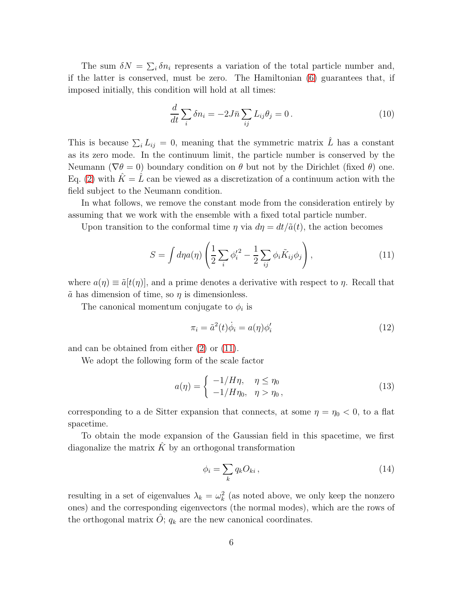The sum  $\delta N = \sum_i \delta n_i$  represents a variation of the total particle number and, if the latter is conserved, must be zero. The Hamiltonian [\(6\)](#page-4-1) guarantees that, if imposed initially, this condition will hold at all times:

$$
\frac{d}{dt}\sum_{i}\delta n_{i} = -2J\bar{n}\sum_{ij}L_{ij}\theta_{j} = 0.
$$
\n(10)

This is because  $\sum_i L_{ij} = 0$ , meaning that the symmetric matrix  $\hat{L}$  has a constant as its zero mode. In the continuum limit, the particle number is conserved by the Neumann ( $\nabla \theta = 0$ ) boundary condition on  $\theta$  but not by the Dirichlet (fixed  $\theta$ ) one. Eq. [\(2\)](#page-3-1) with  $\hat{K} = \hat{L}$  can be viewed as a discretization of a continuum action with the field subject to the Neumann condition.

In what follows, we remove the constant mode from the consideration entirely by assuming that we work with the ensemble with a fixed total particle number.

Upon transition to the conformal time  $\eta$  via  $d\eta = dt/\tilde{a}(t)$ , the action becomes

<span id="page-5-0"></span>
$$
S = \int d\eta a(\eta) \left( \frac{1}{2} \sum_{i} {\phi'_i}^2 - \frac{1}{2} \sum_{ij} \phi_i \tilde{K}_{ij} \phi_j \right), \qquad (11)
$$

where  $a(\eta) \equiv \tilde{a}[t(\eta)]$ , and a prime denotes a derivative with respect to  $\eta$ . Recall that  $\tilde{a}$  has dimension of time, so  $\eta$  is dimensionless.

The canonical momentum conjugate to  $\phi_i$  is

$$
\pi_i = \tilde{a}^2(t)\dot{\phi}_i = a(\eta)\phi'_i \tag{12}
$$

and can be obtained from either [\(2\)](#page-3-1) or [\(11\)](#page-5-0).

We adopt the following form of the scale factor

<span id="page-5-1"></span>
$$
a(\eta) = \begin{cases} -1/H\eta, & \eta \le \eta_0 \\ -1/H\eta_0, & \eta > \eta_0, \end{cases}
$$
\n
$$
(13)
$$

corresponding to a de Sitter expansion that connects, at some  $\eta = \eta_0 < 0$ , to a flat spacetime.

To obtain the mode expansion of the Gaussian field in this spacetime, we first diagonalize the matrix  $\hat{K}$  by an orthogonal transformation

$$
\phi_i = \sum_k q_k O_{ki},\tag{14}
$$

resulting in a set of eigenvalues  $\lambda_k = \omega_k^2$  (as noted above, we only keep the nonzero ones) and the corresponding eigenvectors (the normal modes), which are the rows of the orthogonal matrix  $\hat{O}$ ;  $q_k$  are the new canonical coordinates.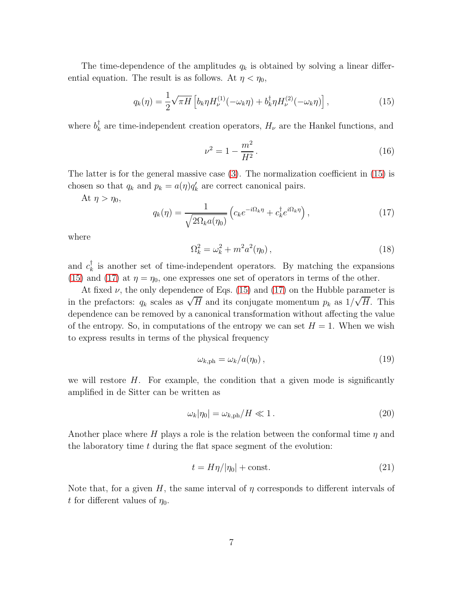The time-dependence of the amplitudes  $q_k$  is obtained by solving a linear differential equation. The result is as follows. At  $\eta < \eta_0$ ,

<span id="page-6-0"></span>
$$
q_k(\eta) = \frac{1}{2}\sqrt{\pi H} \left[ b_k \eta H_\nu^{(1)}(-\omega_k \eta) + b_k^\dagger \eta H_\nu^{(2)}(-\omega_k \eta) \right],\tag{15}
$$

where  $b_k^{\dagger}$ <sup> $\mathcal{T}_k$ </sup> are time-independent creation operators,  $H_{\nu}$  are the Hankel functions, and

<span id="page-6-2"></span>
$$
\nu^2 = 1 - \frac{m^2}{H^2} \,. \tag{16}
$$

The latter is for the general massive case [\(3\)](#page-3-2). The normalization coefficient in [\(15\)](#page-6-0) is chosen so that  $q_k$  and  $p_k = a(\eta)q'_k$  are correct canonical pairs.

At  $\eta > \eta_0$ ,

<span id="page-6-1"></span>
$$
q_k(\eta) = \frac{1}{\sqrt{2\Omega_k a(\eta_0)}} \left( c_k e^{-i\Omega_k \eta} + c_k^{\dagger} e^{i\Omega_k \eta} \right),\tag{17}
$$

where

$$
\Omega_k^2 = \omega_k^2 + m^2 a^2(\eta_0), \qquad (18)
$$

and  $c_k^{\dagger}$  $\bar{k}$  is another set of time-independent operators. By matching the expansions [\(15\)](#page-6-0) and [\(17\)](#page-6-1) at  $\eta = \eta_0$ , one expresses one set of operators in terms of the other.

At fixed  $\nu$ , the only dependence of Eqs. [\(15\)](#page-6-0) and [\(17\)](#page-6-1) on the Hubble parameter is in the prefactors:  $q_k$  scales as  $\sqrt{H}$  and its conjugate momentum  $p_k$  as  $1/\sqrt{H}$ . This dependence can be removed by a canonical transformation without affecting the value of the entropy. So, in computations of the entropy we can set  $H = 1$ . When we wish to express results in terms of the physical frequency

<span id="page-6-3"></span>
$$
\omega_{k,\text{ph}} = \omega_k / a(\eta_0) \,,\tag{19}
$$

we will restore  $H$ . For example, the condition that a given mode is significantly amplified in de Sitter can be written as

$$
\omega_k |\eta_0| = \omega_{k, \mathrm{ph}} / H \ll 1. \tag{20}
$$

Another place where H plays a role is the relation between the conformal time  $\eta$  and the laboratory time  $t$  during the flat space segment of the evolution:

$$
t = H\eta/|\eta_0| + \text{const.}\tag{21}
$$

Note that, for a given H, the same interval of  $\eta$  corresponds to different intervals of t for different values of  $\eta_0$ .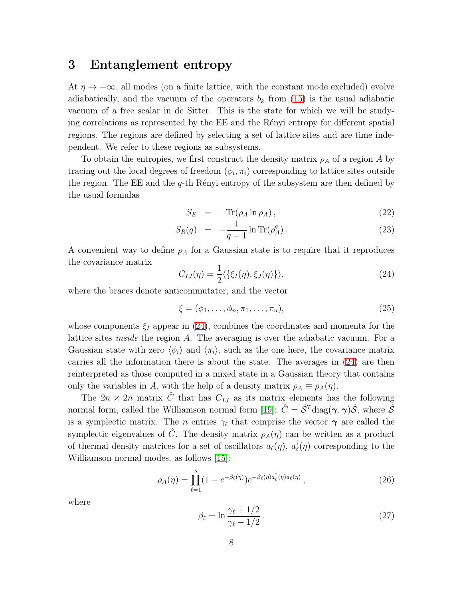#### <span id="page-7-2"></span>3 Entanglement entropy

At  $\eta \to -\infty$ , all modes (on a finite lattice, with the constant mode excluded) evolve adiabatically, and the vacuum of the operators  $b_k$  from [\(15\)](#page-6-0) is the usual adiabatic vacuum of a free scalar in de Sitter. This is the state for which we will be studying correlations as represented by the EE and the Rényi entropy for different spatial regions. The regions are defined by selecting a set of lattice sites and are time independent. We refer to these regions as subsystems.

To obtain the entropies, we first construct the density matrix  $\rho_A$  of a region A by tracing out the local degrees of freedom  $(\phi_i, \pi_i)$  corresponding to lattice sites outside the region. The EE and the  $q$ -th Rényi entropy of the subsystem are then defined by the usual formulas

<span id="page-7-1"></span>
$$
S_E = -\text{Tr}(\rho_A \ln \rho_A), \qquad (22)
$$

$$
S_R(q) = -\frac{1}{q-1} \ln \text{Tr}(\rho_A^q) \,. \tag{23}
$$

A convenient way to define  $\rho_A$  for a Gaussian state is to require that it reproduces the covariance matrix

<span id="page-7-0"></span>
$$
C_{IJ}(\eta) = \frac{1}{2} \langle \{\xi_I(\eta), \xi_J(\eta)\}\rangle, \tag{24}
$$

where the braces denote anticommutator, and the vector

$$
\xi = (\phi_1, \dots, \phi_n, \pi_1, \dots, \pi_n),\tag{25}
$$

whose components  $\xi_I$  appear in [\(24\)](#page-7-0), combines the coordinates and momenta for the lattice sites *inside* the region A. The averaging is over the adiabatic vacuum. For a Gaussian state with zero  $\langle \phi_i \rangle$  and  $\langle \pi_i \rangle$ , such as the one here, the covariance matrix carries all the information there is about the state. The averages in [\(24\)](#page-7-0) are then reinterpreted as those computed in a mixed state in a Gaussian theory that contains only the variables in A, with the help of a density matrix  $\rho_A \equiv \rho_A(\eta)$ .

The  $2n \times 2n$  matrix C that has  $C_{IJ}$  as its matrix elements has the following normal form, called the Williamson normal form [\[19\]](#page-14-8):  $\hat{C} = \hat{S}^T \text{diag}(\gamma, \gamma) \hat{S}$ , where  $\hat{S}$ is a symplectic matrix. The *n* entries  $\gamma_{\ell}$  that comprise the vector  $\gamma$  are called the symplectic eigenvalues of  $\tilde{C}$ . The density matrix  $\rho_A(\eta)$  can be written as a product of thermal density matrices for a set of oscillators  $a_{\ell}(\eta)$ ,  $a_{\ell}^{\dagger}$  $\bar{J}_{\ell}(\eta)$  corresponding to the Williamson normal modes, as follows [\[15\]](#page-14-4):

$$
\rho_A(\eta) = \prod_{\ell=1}^n (1 - e^{-\beta_\ell(\eta)}) e^{-\beta_\ell(\eta) a_\ell^\dagger(\eta) a_\ell(\eta)}, \qquad (26)
$$

where

<span id="page-7-3"></span>
$$
\beta_{\ell} = \ln \frac{\gamma_{\ell} + 1/2}{\gamma_{\ell} - 1/2}.
$$
\n(27)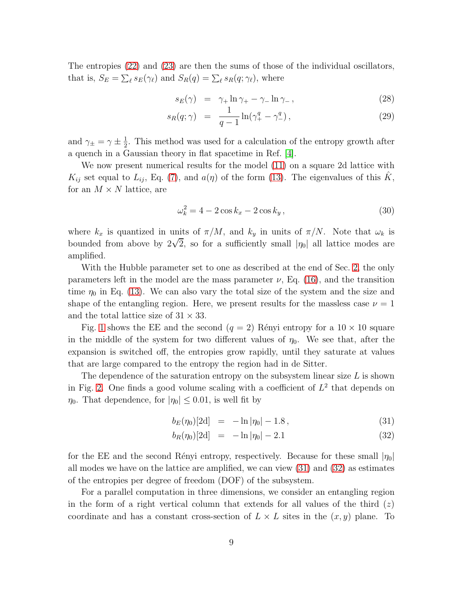The entropies [\(22\)](#page-7-1) and [\(23\)](#page-7-1) are then the sums of those of the individual oscillators, that is,  $S_E = \sum_{\ell} s_E(\gamma_{\ell})$  and  $S_R(q) = \sum_{\ell} s_R(q; \gamma_{\ell})$ , where

$$
s_E(\gamma) = \gamma_+ \ln \gamma_+ - \gamma_- \ln \gamma_-, \qquad (28)
$$

$$
s_R(q; \gamma) = \frac{1}{q-1} \ln(\gamma_+^q - \gamma_-^q), \qquad (29)
$$

and  $\gamma_{\pm} = \gamma \pm \frac{1}{2}$  $\frac{1}{2}$ . This method was used for a calculation of the entropy growth after a quench in a Gaussian theory in flat spacetime in Ref. [\[4\]](#page-13-3).

We now present numerical results for the model [\(11\)](#page-5-0) on a square 2d lattice with  $K_{ij}$  set equal to  $L_{ij}$ , Eq. [\(7\)](#page-4-3), and  $a(\eta)$  of the form [\(13\)](#page-5-1). The eigenvalues of this  $K$ , for an  $M \times N$  lattice, are

$$
\omega_k^2 = 4 - 2\cos k_x - 2\cos k_y, \tag{30}
$$

where  $k_x$  is quantized in units of  $\pi/M$ , and  $k_y$  in units of  $\pi/N$ . Note that  $\omega_k$  is bounded from above by  $2\sqrt{2}$ , so for a sufficiently small  $|\eta_0|$  all lattice modes are amplified.

With the Hubble parameter set to one as described at the end of Sec. [2,](#page-3-3) the only parameters left in the model are the mass parameter  $\nu$ , Eq. [\(16\)](#page-6-2), and the transition time  $\eta_0$  in Eq. [\(13\)](#page-5-1). We can also vary the total size of the system and the size and shape of the entangling region. Here, we present results for the massless case  $\nu = 1$ and the total lattice size of  $31 \times 33$ .

Fig. [1](#page-9-0) shows the EE and the second  $(q = 2)$  Rényi entropy for a  $10 \times 10$  square in the middle of the system for two different values of  $\eta_0$ . We see that, after the expansion is switched off, the entropies grow rapidly, until they saturate at values that are large compared to the entropy the region had in de Sitter.

The dependence of the saturation entropy on the subsystem linear size  $L$  is shown in Fig. [2.](#page-9-1) One finds a good volume scaling with a coefficient of  $L^2$  that depends on  $\eta_0$ . That dependence, for  $|\eta_0| \leq 0.01$ , is well fit by

<span id="page-8-0"></span>
$$
b_E(\eta_0)[2d] = -\ln|\eta_0| - 1.8, \qquad (31)
$$

$$
b_R(\eta_0)[2d] = -\ln|\eta_0| - 2.1 \tag{32}
$$

for the EE and the second Rényi entropy, respectively. Because for these small  $|\eta_0|$ all modes we have on the lattice are amplified, we can view [\(31\)](#page-8-0) and [\(32\)](#page-8-0) as estimates of the entropies per degree of freedom (DOF) of the subsystem.

For a parallel computation in three dimensions, we consider an entangling region in the form of a right vertical column that extends for all values of the third  $(z)$ coordinate and has a constant cross-section of  $L \times L$  sites in the  $(x, y)$  plane. To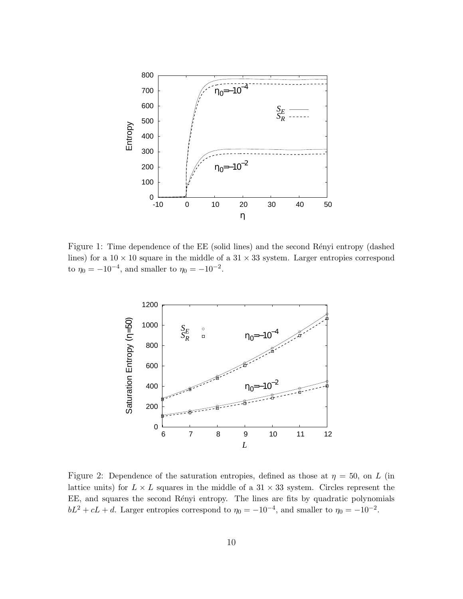

<span id="page-9-0"></span>Figure 1: Time dependence of the EE (solid lines) and the second Rényi entropy (dashed lines) for a  $10 \times 10$  square in the middle of a  $31 \times 33$  system. Larger entropies correspond to  $\eta_0 = -10^{-4}$ , and smaller to  $\eta_0 = -10^{-2}$ .



<span id="page-9-1"></span>Figure 2: Dependence of the saturation entropies, defined as those at  $\eta = 50$ , on L (in lattice units) for  $L \times L$  squares in the middle of a 31  $\times$  33 system. Circles represent the EE, and squares the second Rényi entropy. The lines are fits by quadratic polynomials  $bL^2 + cL + d$ . Larger entropies correspond to  $\eta_0 = -10^{-4}$ , and smaller to  $\eta_0 = -10^{-2}$ .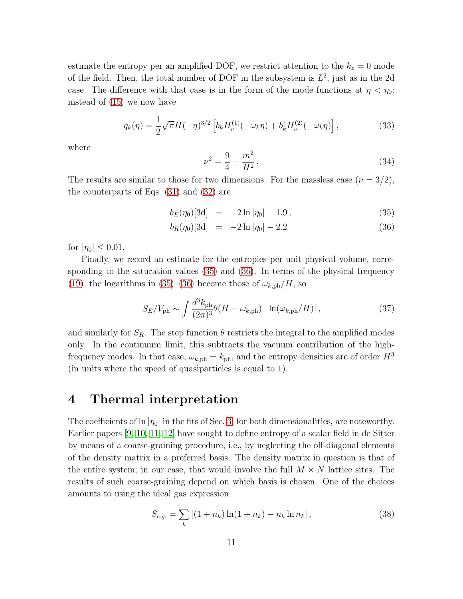estimate the entropy per an amplified DOF, we restrict attention to the  $k_z = 0$  mode of the field. Then, the total number of DOF in the subsystem is  $L^2$ , just as in the 2d case. The difference with that case is in the form of the mode functions at  $\eta < \eta_0$ : instead of [\(15\)](#page-6-0) we now have

$$
q_k(\eta) = \frac{1}{2}\sqrt{\pi}H(-\eta)^{3/2} \left[ b_k H_{\nu}^{(1)}(-\omega_k \eta) + b_k^{\dagger} H_{\nu}^{(2)}(-\omega_k \eta) \right],
$$
 (33)

where

$$
\nu^2 = \frac{9}{4} - \frac{m^2}{H^2}.
$$
\n(34)

The results are similar to those for two dimensions. For the massless case  $(\nu = 3/2)$ , the counterparts of Eqs. [\(31\)](#page-8-0) and [\(32\)](#page-8-0) are

<span id="page-10-1"></span>
$$
b_E(\eta_0)[3d] = -2\ln|\eta_0| - 1.9, \qquad (35)
$$

$$
b_R(\eta_0)[3d] = -2\ln|\eta_0| - 2.2 \tag{36}
$$

for  $|\eta_0| \leq 0.01$ .

Finally, we record an estimate for the entropies per unit physical volume, corresponding to the saturation values [\(35\)](#page-10-1) and [\(36\)](#page-10-1). In terms of the physical frequency [\(19\)](#page-6-3), the logarithms in [\(35\)](#page-10-1)–[\(36\)](#page-10-1) become those of  $\omega_{k,ph}/H$ , so

$$
S_E/V_{\rm ph} \sim \int \frac{d^3 k_{\rm ph}}{(2\pi)^3} \theta(H - \omega_{k, \rm ph}) \left| \ln(\omega_{k, \rm ph}/H) \right|, \tag{37}
$$

and similarly for  $S_R$ . The step function  $\theta$  restricts the integral to the amplified modes only. In the continuum limit, this subtracts the vacuum contribution of the highfrequency modes. In that case,  $\omega_{k,ph} = k_{ph}$ , and the entropy densities are of order  $H^3$ (in units where the speed of quasiparticles is equal to 1).

#### <span id="page-10-0"></span>4 Thermal interpretation

The coefficients of  $\ln |\eta_0|$  in the fits of Sec. [3,](#page-7-2) for both dimensionalities, are noteworthy. Earlier papers [\[9,](#page-13-8) [10,](#page-13-9) [11,](#page-14-0) [12\]](#page-14-1) have sought to define entropy of a scalar field in de Sitter by means of a coarse-graining procedure, i.e., by neglecting the off-diagonal elements of the density matrix in a preferred basis. The density matrix in question is that of the entire system; in our case, that would involve the full  $M \times N$  lattice sites. The results of such coarse-graining depend on which basis is chosen. One of the choices amounts to using the ideal gas expression

<span id="page-10-2"></span>
$$
S_{c.g.} = \sum_{k} \left[ (1 + n_k) \ln(1 + n_k) - n_k \ln n_k \right],
$$
 (38)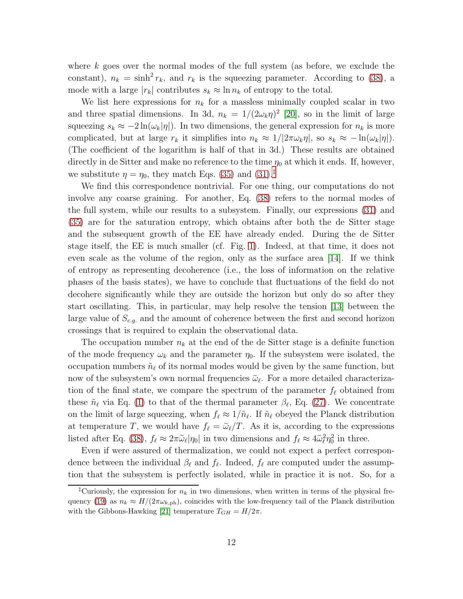where  $k$  goes over the normal modes of the full system (as before, we exclude the constant),  $n_k = \sinh^2 r_k$ , and  $r_k$  is the squeezing parameter. According to [\(38\)](#page-10-2), a mode with a large  $|r_k|$  contributes  $s_k \approx \ln n_k$  of entropy to the total.

We list here expressions for  $n_k$  for a massless minimally coupled scalar in two and three spatial dimensions. In 3d,  $n_k = 1/(2\omega_k \eta)^2$  [\[20\]](#page-14-9), so in the limit of large squeezing  $s_k \approx -2 \ln(\omega_k|\eta|)$ . In two dimensions, the general expression for  $n_k$  is more complicated, but at large  $r_k$  it simplifies into  $n_k \approx 1/2\pi\omega_k\eta$ , so  $s_k \approx -\ln(\omega_k|\eta|)$ . (The coefficient of the logarithm is half of that in 3d.) These results are obtained directly in de Sitter and make no reference to the time  $\eta_0$  at which it ends. If, however, we substitute  $\eta = \eta_0$ , they match Eqs. [\(35\)](#page-10-1) and [\(31\)](#page-8-0).<sup>[‡](#page-11-0)</sup>

We find this correspondence nontrivial. For one thing, our computations do not involve any coarse graining. For another, Eq. [\(38\)](#page-10-2) refers to the normal modes of the full system, while our results to a subsystem. Finally, our expressions [\(31\)](#page-8-0) and [\(35\)](#page-10-1) are for the saturation entropy, which obtains after both the de Sitter stage and the subsequent growth of the EE have already ended. During the de Sitter stage itself, the EE is much smaller (cf. Fig. [1\)](#page-9-0). Indeed, at that time, it does not even scale as the volume of the region, only as the surface area [\[14\]](#page-14-3). If we think of entropy as representing decoherence (i.e., the loss of information on the relative phases of the basis states), we have to conclude that fluctuations of the field do not decohere significantly while they are outside the horizon but only do so after they start oscillating. This, in particular, may help resolve the tension [\[13\]](#page-14-2) between the large value of  $S_{c,q}$  and the amount of coherence between the first and second horizon crossings that is required to explain the observational data.

The occupation number  $n_k$  at the end of the de Sitter stage is a definite function of the mode frequency  $\omega_k$  and the parameter  $\eta_0$ . If the subsystem were isolated, the occupation numbers  $\tilde{n}_{\ell}$  of its normal modes would be given by the same function, but now of the subsystem's own normal frequencies  $\tilde{\omega}_{\ell}$ . For a more detailed characterization of the final state, we compare the spectrum of the parameter  $f_{\ell}$  obtained from these  $\tilde{n}_{\ell}$  via Eq. [\(1\)](#page-2-0) to that of the thermal parameter  $\beta_{\ell}$ , Eq. [\(27\)](#page-7-3). We concentrate on the limit of large squeezing, when  $f_{\ell} \approx 1/\tilde{n}_{\ell}$ . If  $\tilde{n}_{\ell}$  obeyed the Planck distribution at temperature T, we would have  $f_{\ell} = \tilde{\omega}_{\ell}/T$ . As it is, according to the expressions listed after Eq. [\(38\)](#page-10-2),  $f_{\ell} \approx 2\pi \tilde{\omega}_{\ell} |\eta_0|$  in two dimensions and  $f_{\ell} \approx 4\tilde{\omega}_{\ell}^2 \eta_0^2$  in three.

Even if were assured of thermalization, we could not expect a perfect correspondence between the individual  $\beta_{\ell}$  and  $f_{\ell}$ . Indeed,  $f_{\ell}$  are computed under the assumption that the subsystem is perfectly isolated, while in practice it is not. So, for a

<span id="page-11-0"></span><sup>&</sup>lt;sup>‡</sup>Curiously, the expression for  $n_k$  in two dimensions, when written in terms of the physical fre-quency [\(19\)](#page-6-3) as  $n_k \approx H/(2\pi\omega_{k,\text{ph}})$ , coincides with the low-frequency tail of the Planck distribution with the Gibbons-Hawking [\[21\]](#page-14-10) temperature  $T_{GH} = H/2\pi$ .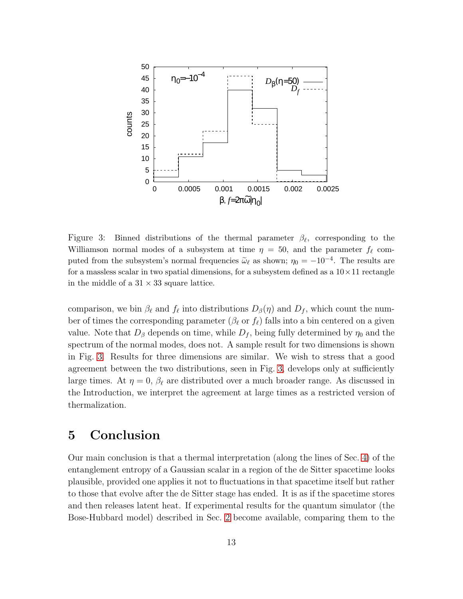

<span id="page-12-0"></span>Figure 3: Binned distributions of the thermal parameter  $\beta_{\ell}$ , corresponding to the Williamson normal modes of a subsystem at time  $\eta = 50$ , and the parameter  $f_{\ell}$  computed from the subsystem's normal frequencies  $\tilde{\omega}_{\ell}$  as shown;  $\eta_0 = -10^{-4}$ . The results are for a massless scalar in two spatial dimensions, for a subsystem defined as a  $10 \times 11$  rectangle in the middle of a  $31 \times 33$  square lattice.

comparison, we bin  $\beta_{\ell}$  and  $f_{\ell}$  into distributions  $D_{\beta}(\eta)$  and  $D_{f}$ , which count the number of times the corresponding parameter ( $\beta_{\ell}$  or  $f_{\ell}$ ) falls into a bin centered on a given value. Note that  $D_{\beta}$  depends on time, while  $D_f$ , being fully determined by  $\eta_0$  and the spectrum of the normal modes, does not. A sample result for two dimensions is shown in Fig. [3.](#page-12-0) Results for three dimensions are similar. We wish to stress that a good agreement between the two distributions, seen in Fig. [3,](#page-12-0) develops only at sufficiently large times. At  $\eta = 0$ ,  $\beta_{\ell}$  are distributed over a much broader range. As discussed in the Introduction, we interpret the agreement at large times as a restricted version of thermalization.

# 5 Conclusion

Our main conclusion is that a thermal interpretation (along the lines of Sec. [4\)](#page-10-0) of the entanglement entropy of a Gaussian scalar in a region of the de Sitter spacetime looks plausible, provided one applies it not to fluctuations in that spacetime itself but rather to those that evolve after the de Sitter stage has ended. It is as if the spacetime stores and then releases latent heat. If experimental results for the quantum simulator (the Bose-Hubbard model) described in Sec. [2](#page-3-3) become available, comparing them to the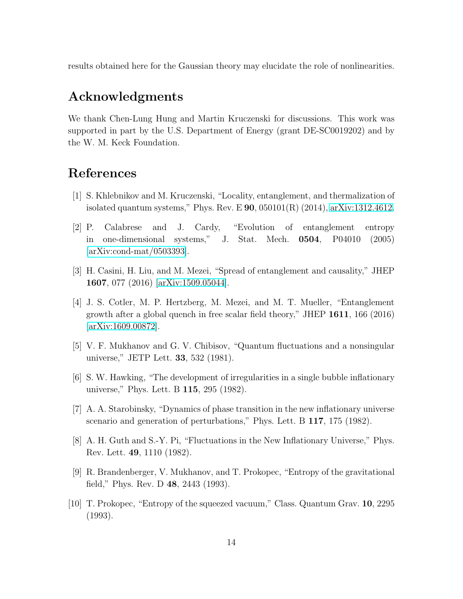results obtained here for the Gaussian theory may elucidate the role of nonlinearities.

# Acknowledgments

We thank Chen-Lung Hung and Martin Kruczenski for discussions. This work was supported in part by the U.S. Department of Energy (grant DE-SC0019202) and by the W. M. Keck Foundation.

# <span id="page-13-0"></span>References

- <span id="page-13-1"></span>[1] S. Khlebnikov and M. Kruczenski, "Locality, entanglement, and thermalization of isolated quantum systems," Phys. Rev. E 90, 050101(R) (2014), [arXiv:1312.4612.](http://arxiv.org/abs/1312.4612)
- [2] P. Calabrese and J. Cardy, "Evolution of entanglement entropy in one-dimensional systems," J. Stat. Mech. 0504, P04010 (2005) [\[arXiv:cond-mat/0503393\]](http://arxiv.org/abs/cond-mat/0503393).
- <span id="page-13-3"></span><span id="page-13-2"></span>[3] H. Casini, H. Liu, and M. Mezei, "Spread of entanglement and causality," JHEP 1607, 077 (2016) [\[arXiv:1509.05044\]](http://arxiv.org/abs/1509.05044).
- [4] J. S. Cotler, M. P. Hertzberg, M. Mezei, and M. T. Mueller, "Entanglement growth after a global quench in free scalar field theory," JHEP 1611, 166 (2016) [\[arXiv:1609.00872\]](http://arxiv.org/abs/1609.00872).
- <span id="page-13-5"></span><span id="page-13-4"></span>[5] V. F. Mukhanov and G. V. Chibisov, "Quantum fluctuations and a nonsingular universe," JETP Lett. 33, 532 (1981).
- <span id="page-13-6"></span>[6] S. W. Hawking, "The development of irregularities in a single bubble inflationary universe," Phys. Lett. B 115, 295 (1982).
- <span id="page-13-7"></span>[7] A. A. Starobinsky, "Dynamics of phase transition in the new inflationary universe scenario and generation of perturbations," Phys. Lett. B 117, 175 (1982).
- <span id="page-13-8"></span>[8] A. H. Guth and S.-Y. Pi, "Fluctuations in the New Inflationary Universe," Phys. Rev. Lett. 49, 1110 (1982).
- <span id="page-13-9"></span>[9] R. Brandenberger, V. Mukhanov, and T. Prokopec, "Entropy of the gravitational field," Phys. Rev. D 48, 2443 (1993).
- [10] T. Prokopec, "Entropy of the squeezed vacuum," Class. Quantum Grav. 10, 2295 (1993).